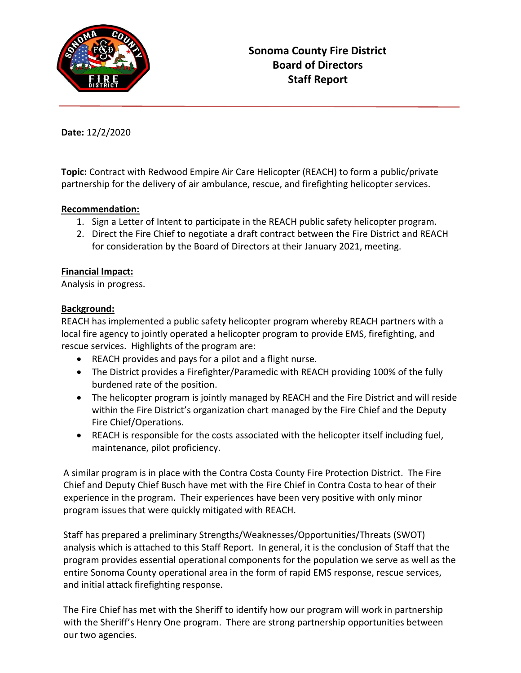

**Date:** 12/2/2020

**Topic:** Contract with Redwood Empire Air Care Helicopter (REACH) to form a public/private partnership for the delivery of air ambulance, rescue, and firefighting helicopter services.

## **Recommendation:**

- 1. Sign a Letter of Intent to participate in the REACH public safety helicopter program.
- 2. Direct the Fire Chief to negotiate a draft contract between the Fire District and REACH for consideration by the Board of Directors at their January 2021, meeting.

## **Financial Impact:**

Analysis in progress.

## **Background:**

REACH has implemented a public safety helicopter program whereby REACH partners with a local fire agency to jointly operated a helicopter program to provide EMS, firefighting, and rescue services. Highlights of the program are:

- REACH provides and pays for a pilot and a flight nurse.
- The District provides a Firefighter/Paramedic with REACH providing 100% of the fully burdened rate of the position.
- The helicopter program is jointly managed by REACH and the Fire District and will reside within the Fire District's organization chart managed by the Fire Chief and the Deputy Fire Chief/Operations.
- REACH is responsible for the costs associated with the helicopter itself including fuel, maintenance, pilot proficiency.

A similar program is in place with the Contra Costa County Fire Protection District. The Fire Chief and Deputy Chief Busch have met with the Fire Chief in Contra Costa to hear of their experience in the program. Their experiences have been very positive with only minor program issues that were quickly mitigated with REACH.

Staff has prepared a preliminary Strengths/Weaknesses/Opportunities/Threats (SWOT) analysis which is attached to this Staff Report. In general, it is the conclusion of Staff that the program provides essential operational components for the population we serve as well as the entire Sonoma County operational area in the form of rapid EMS response, rescue services, and initial attack firefighting response.

The Fire Chief has met with the Sheriff to identify how our program will work in partnership with the Sheriff's Henry One program. There are strong partnership opportunities between our two agencies.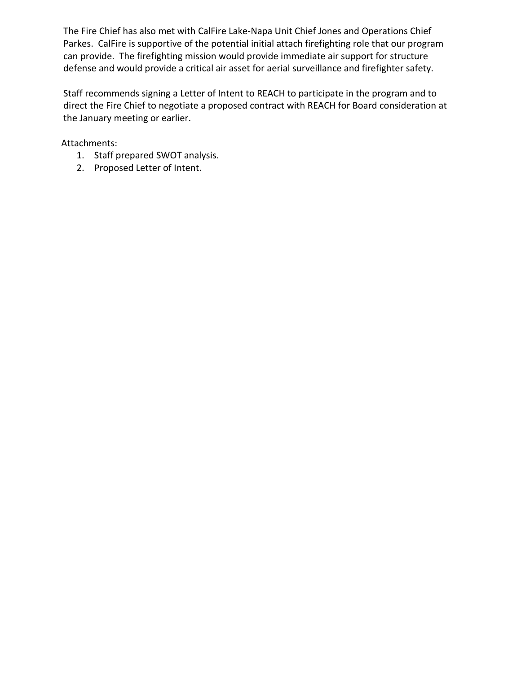The Fire Chief has also met with CalFire Lake-Napa Unit Chief Jones and Operations Chief Parkes. CalFire is supportive of the potential initial attach firefighting role that our program can provide. The firefighting mission would provide immediate air support for structure defense and would provide a critical air asset for aerial surveillance and firefighter safety.

Staff recommends signing a Letter of Intent to REACH to participate in the program and to direct the Fire Chief to negotiate a proposed contract with REACH for Board consideration at the January meeting or earlier.

Attachments:

- 1. Staff prepared SWOT analysis.
- 2. Proposed Letter of Intent.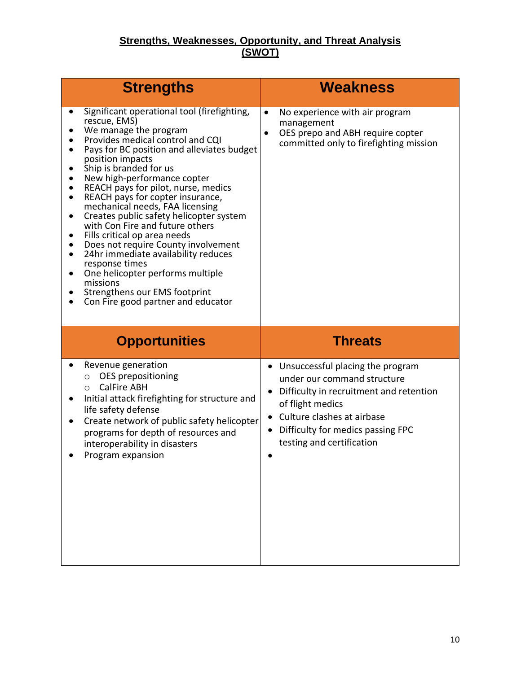## **Strengths, Weaknesses, Opportunity, and Threat Analysis (SWOT)**

| <b>Strengths</b>                                                                                                                                                                                                                                                                                                                                                                                                                                                                                                                                                                                                                                                                                                                                                                       | <b>Weakness</b>                                                                                                                                      |
|----------------------------------------------------------------------------------------------------------------------------------------------------------------------------------------------------------------------------------------------------------------------------------------------------------------------------------------------------------------------------------------------------------------------------------------------------------------------------------------------------------------------------------------------------------------------------------------------------------------------------------------------------------------------------------------------------------------------------------------------------------------------------------------|------------------------------------------------------------------------------------------------------------------------------------------------------|
| Significant operational tool (firefighting,<br>٠<br>rescue, EMS)<br>We manage the program<br>Provides medical control and CQI<br>Pays for BC position and alleviates budget<br>٠<br>position impacts<br>Ship is branded for us<br>New high-performance copter<br>REACH pays for pilot, nurse, medics<br>REACH pays for copter insurance,<br>$\bullet$<br>mechanical needs, FAA licensing<br>Creates public safety helicopter system<br>$\bullet$<br>with Con Fire and future others<br>Fills critical op area needs<br>$\bullet$<br>Does not require County involvement<br>٠<br>24hr immediate availability reduces<br>$\bullet$<br>response times<br>One helicopter performs multiple<br>missions<br>Strengthens our EMS footprint<br>Con Fire good partner and educator<br>$\bullet$ | No experience with air program<br>$\bullet$<br>management<br>OES prepo and ABH require copter<br>$\bullet$<br>committed only to firefighting mission |
|                                                                                                                                                                                                                                                                                                                                                                                                                                                                                                                                                                                                                                                                                                                                                                                        |                                                                                                                                                      |
| <b>Opportunities</b>                                                                                                                                                                                                                                                                                                                                                                                                                                                                                                                                                                                                                                                                                                                                                                   | <b>Threats</b>                                                                                                                                       |